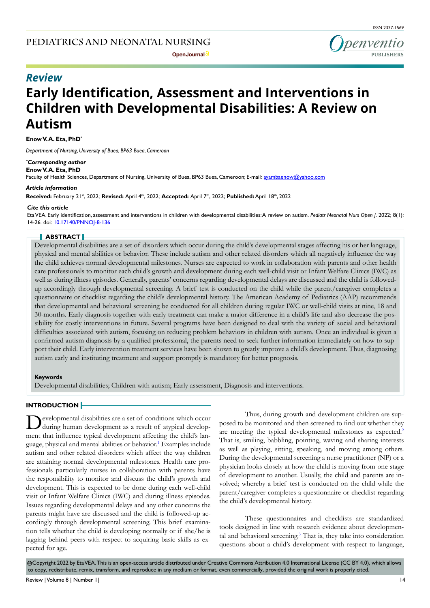

# **Early Identification, Assessment and Interventions in Children with Developmental Disabilities: A Review on Autism** *Review*

**Enow V. A. Eta, PhD\***

*Department of Nursing, University of Buea, BP63 Buea, Cameroon*

*\* Corresponding author* **Enow V. A. Eta, PhD**

Faculty of Health Sciences, Department of Nursing, University of Buea, BP63 Buea, Cameroon; E-mail: ayambaenow@yahoo.com

#### *Article information*

**Received:** February 21st, 2022; **Revised:** April 4th, 2022; **Accepted:** April 7th, 2022; **Published:**April 18th, 2022

#### *Cite this article*

Eta VEA. Early identification, assessment and interventions in children with developmental disabilities: A review on autism. *Pediatr Neonatal Nurs Open J*. 2022; 8(1): 14-26. doi: [10.17140/PNNOJ-8-136](http://dx.doi.org/10.17140/PNNOJ-8-136)

## **ABSTRACT**

Developmental disabilities are a set of disorders which occur during the child's developmental stages affecting his or her language, physical and mental abilities or behavior. These include autism and other related disorders which all negatively influence the way the child achieves normal developmental milestones. Nurses are expected to work in collaboration with parents and other health care professionals to monitor each child's growth and development during each well-child visit or Infant Welfare Clinics (IWC) as well as during illness episodes. Generally, parents' concerns regarding developmental delays are discussed and the child is followedup accordingly through developmental screening. A brief test is conducted on the child while the parent/caregiver completes a questionnaire or checklist regarding the child's developmental history. The American Academy of Pediatrics (AAP) recommends that developmental and behavioral screening be conducted for all children during regular IWC or well-child visits at nine, 18 and 30-months. Early diagnosis together with early treatment can make a major difference in a child's life and also decrease the possibility for costly interventions in future. Several programs have been designed to deal with the variety of social and behavioral difficulties associated with autism, focusing on reducing problem behaviors in children with autism. Once an individual is given a confirmed autism diagnosis by a qualified professional, the parents need to seek further information immediately on how to support their child. Early intervention treatment services have been shown to greatly improve a child's development. Thus, diagnosing autism early and instituting treatment and support promptly is mandatory for better prognosis.

#### **Keywords**

Developmental disabilities; Children with autism; Early assessment, Diagnosis and interventions.

## **INTRODUCTION**

evelopmental disabilities are a set of conditions which occur during human development as a result of atypical development that influence typical development affecting the child's language, physical and mental abilities or behavior.<sup>1</sup> Examples include autism and other related disorders which affect the way children are attaining normal developmental milestones. Health care professionals particularly nurses in collaboration with parents have the responsibility to monitor and discuss the child's growth and development. This is expected to be done during each well-child visit or Infant Welfare Clinics (IWC) and during illness episodes. Issues regarding developmental delays and any other concerns the parents might have are discussed and the child is followed-up accordingly through developmental screening. This brief examination tells whether the child is developing normally or if she/he is lagging behind peers with respect to acquiring basic skills as expected for age.

Thus, during growth and development children are supposed to be monitored and then screened to find out whether they are meeting the typical developmental milestones as expected.<sup>[2](#page-9-1)</sup> That is, smiling, babbling, pointing, waving and sharing interests as well as playing, sitting, speaking, and moving among others. During the developmental screening a nurse practitioner (NP) or a physician looks closely at how the child is moving from one stage of development to another. Usually, the child and parents are involved; whereby a brief test is conducted on the child while the parent/caregiver completes a questionnaire or checklist regarding the child's developmental history.

These questionnaires and checklists are standardized tools designed in line with research evidence about developmen-tal and behavioral screening.<sup>[3](#page-9-2)</sup> That is, they take into consideration questions about a child's development with respect to language,

 $\odot$ Copyright 2022 by Eta VEA. This is an open-access article distributed under Creative Commons Attribution 4.0 International License (CC BY 4.0), which allows to copy, redistribute, remix, transform, and reproduce in any medium or format, even commercially, provided the original work is properly cited.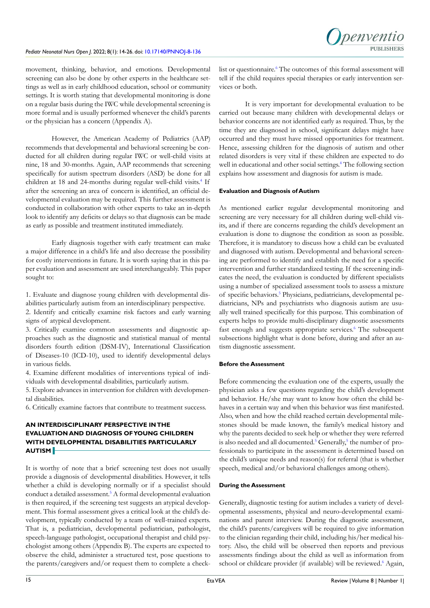movement, thinking, behavior, and emotions. Developmental screening can also be done by other experts in the healthcare settings as well as in early childhood education, school or community settings. It is worth stating that developmental monitoring is done on a regular basis during the IWC while developmental screening is more formal and is usually performed whenever the child's parents or the physician has a concern (Appendix A).

However, the American Academy of Pediatrics (AAP) recommends that developmental and behavioral screening be conducted for all children during regular IWC or well-child visits at nine, 18 and 30-months. Again, AAP recommends that screening specifically for autism spectrum disorders (ASD) be done for all children at 18 and 24-months during regular well-child visits.<sup>4</sup> If after the screening an area of concern is identified, an official developmental evaluation may be required. This further assessment is conducted in collaboration with other experts to take an in-depth look to identify any deficits or delays so that diagnosis can be made as early as possible and treatment instituted immediately.

Early diagnosis together with early treatment can make a major difference in a child's life and also decrease the possibility for costly interventions in future. It is worth saying that in this paper evaluation and assessment are used interchangeably. This paper sought to:

1. Evaluate and diagnose young children with developmental disabilities particularly autism from an interdisciplinary perspective.

2. Identify and critically examine risk factors and early warning signs of atypical development.

3. Critically examine common assessments and diagnostic approaches such as the diagnostic and statistical manual of mental disorders fourth edition (DSM-IV), International Classification of Diseases-10 (ICD-10), used to identify developmental delays in various fields.

4. Examine different modalities of interventions typical of individuals with developmental disabilities, particularly autism.

5. Explore advances in intervention for children with developmental disabilities.

6. Critically examine factors that contribute to treatment success.

# **AN INTERDISCIPLINARY PERSPECTIVE IN THE EVALUATION AND DIAGNOSIS OF YOUNG CHILDREN WITH DEVELOPMENTAL DISABILITIES PARTICULARLY AUTISM**

It is worthy of note that a brief screening test does not usually provide a diagnosis of developmental disabilities. However, it tells whether a child is developing normally or if a specialist should conduct a detailed assessment.<sup>[5](#page-10-1)</sup> A formal developmental evaluation is then required, if the screening test suggests an atypical development. This formal assessment gives a critical look at the child's development, typically conducted by a team of well-trained experts. That is, a pediatrician, developmental pediatrician, pathologist, speech-language pathologist, occupational therapist and child psychologist among others (Appendix B). The experts are expected to observe the child, administer a structured test, pose questions to the parents/caregivers and/or request them to complete a checklist or questionnaire.<sup>[6](#page-10-2)</sup> The outcomes of this formal assessment will tell if the child requires special therapies or early intervention services or both.

nenventic

It is very important for developmental evaluation to be carried out because many children with developmental delays or behavior concerns are not identified early as required. Thus, by the time they are diagnosed in school, significant delays might have occurred and they must have missed opportunities for treatment. Hence, assessing children for the diagnosis of autism and other related disorders is very vital if these children are expected to do well in educational and other social settings.<sup>[4](#page-10-0)</sup> The following section explains how assessment and diagnosis for autism is made.

#### **Evaluation and Diagnosis of Autism**

As mentioned earlier regular developmental monitoring and screening are very necessary for all children during well-child visits, and if there are concerns regarding the child's development an evaluation is done to diagnose the condition as soon as possible. Therefore, it is mandatory to discuss how a child can be evaluated and diagnosed with autism. Developmental and behavioral screening are performed to identify and establish the need for a specific intervention and further standardized testing. If the screening indicates the need, the evaluation is conducted by different specialists using a number of specialized assessment tools to assess a mixture of specific behaviors.<sup>[5](#page-10-1)</sup> Physicians, pediatricians, developmental pediatricians, NPs and psychiatrists who diagnosis autism are usually well trained specifically for this purpose. This combination of experts helps to provide multi-disciplinary diagnostic assessments fast enough and suggests appropriate services.<sup>[6](#page-10-2)</sup> The subsequent subsections highlight what is done before, during and after an autism diagnostic assessment.

#### **Before the Assessment**

Before commencing the evaluation one of the experts, usually the physician asks a few questions regarding the child's development and behavior. He/she may want to know how often the child behaves in a certain way and when this behavior was first manifested. Also, when and how the child reached certain developmental milestones should be made known, the family's medical history and why the parents decided to seek help or whether they were referred is also needed and all documented.<sup>[5](#page-10-1)</sup> Generally,<sup>5</sup> the number of professionals to participate in the assessment is determined based on the child's unique needs and reason(s) for referral (that is whether speech, medical and/or behavioral challenges among others).

#### **During the Assessment**

Generally, diagnostic testing for autism includes a variety of developmental assessments, physical and neuro-developmental examinations and parent interview. During the diagnostic assessment, the child's parents/caregivers will be required to give information to the clinician regarding their child, including his/her medical history. Also, the child will be observed then reports and previous assessments findings about the child as well as information from school or childcare provider (if available) will be reviewed.<sup>[6](#page-10-2)</sup> Again,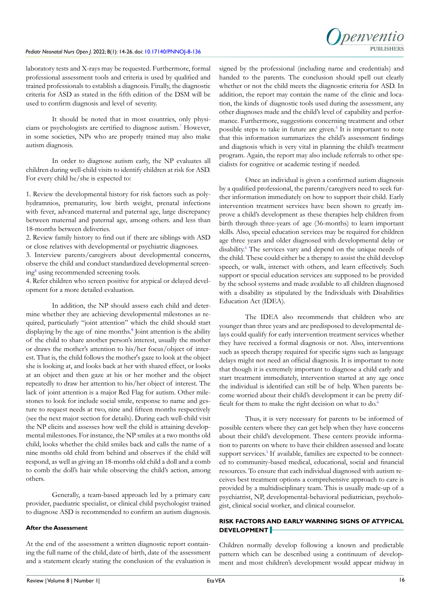laboratory tests and X-rays may be requested. Furthermore, formal professional assessment tools and criteria is used by qualified and trained professionals to establish a diagnosis. Finally, the diagnostic criteria for ASD as stated in the fifth edition of the DSM will be used to confirm diagnosis and level of severity.

It should be noted that in most countries, only physicians or psychologists are certified to diagnose autism.[7](#page-10-3) However, in some societies, NPs who are properly trained may also make autism diagnosis.

In order to diagnose autism early, the NP evaluates all children during well-child visits to identify children at risk for ASD. For every child he/she is expected to:

1. Review the developmental history for risk factors such as polyhydramnios, prematurity, low birth weight, prenatal infections with fever, advanced maternal and paternal age, large discrepancy between maternal and paternal age, among others. and less than 18-months between deliveries.

2. Review family history to find out if there are siblings with ASD or close relatives with developmental or psychiatric diagnoses.

3. Interview parents/caregivers about developmental concerns, observe the child and conduct standardized developmental screen-ing<sup>[8](#page-10-4)</sup> using recommended screening tools.

4. Refer children who screen positive for atypical or delayed development for a more detailed evaluation.

In addition, the NP should assess each child and determine whether they are achieving developmental milestones as required, particularly "joint attention" which the child should start displaying by the age of nine months.<sup>[9](#page-10-5)</sup> Joint attention is the ability of the child to share another person's interest, usually the mother or draws the mother's attention to his/her focus/object of interest. That is, the child follows the mother's gaze to look at the object she is looking at, and looks back at her with shared effect, or looks at an object and then gaze at his or her mother and the object repeatedly to draw her attention to his/her object of interest. The lack of joint attention is a major Red Flag for autism. Other milestones to look for include social smile, response to name and gesture to request needs at two, nine and fifteen months respectively (see the next major section for details). During each well-child visit the NP elicits and assesses how well the child is attaining developmental milestones. For instance, the NP smiles at a two months old child, looks whether the child smiles back and calls the name of a nine months old child from behind and observes if the child will respond, as well as giving an 18-months old child a doll and a comb to comb the doll's hair while observing the child's action, among others.

Generally, a team-based approach led by a primary care provider, paediatric specialist, or clinical child psychologist trained to diagnose ASD is recommended to confirm an autism diagnosis.

## **After the Assessment**

At the end of the assessment a written diagnostic report containing the full name of the child, date of birth, date of the assessment and a statement clearly stating the conclusion of the evaluation is

signed by the professional (including name and credentials) and handed to the parents. The conclusion should spell out clearly whether or not the child meets the diagnostic criteria for ASD. In addition, the report may contain the name of the clinic and location, the kinds of diagnostic tools used during the assessment, any other diagnoses made and the child's level of capability and performance. Furthermore, suggestions concerning treatment and other possible steps to take in future are given.<sup>[5](#page-10-1)</sup> It is important to note that this information summarizes the child's assessment findings and diagnosis which is very vital in planning the child's treatment program. Again, the report may also include referrals to other specialists for cognitive or academic testing if needed.

Once an individual is given a confirmed autism diagnosis by a qualified professional, the parents/caregivers need to seek further information immediately on how to support their child. Early intervention treatment services have been shown to greatly improve a child's development as these therapies help children from birth through three-years of age (36-months) to learn important skills. Also, special education services may be required for children age three years and older diagnosed with developmental delay or disability.<sup>6</sup> The services vary and depend on the unique needs of the child. These could either be a therapy to assist the child develop speech, or walk, interact with others, and learn effectively. Such support or special education services are supposed to be provided by the school systems and made available to all children diagnosed with a disability as stipulated by the Individuals with Disabilities Education Act (IDEA).

The IDEA also recommends that children who are younger than three years and are predisposed to developmental delays could qualify for early intervention treatment services whether they have received a formal diagnosis or not. Also, interventions such as speech therapy required for specific signs such as language delays might not need an official diagnosis. It is important to note that though it is extremely important to diagnose a child early and start treatment immediately, intervention started at any age once the individual is identified can still be of help. When parents become worried about their child's development it can be pretty dif-ficult for them to make the right decision on what to do.<sup>[6](#page-10-2)</sup>

Thus, it is very necessary for parents to be informed of possible centers where they can get help when they have concerns about their child's development. These centers provide information to parents on where to have their children assessed and locate support services.<sup>[5](#page-10-1)</sup> If available, families are expected to be connected to community-based medical, educational, social and financial resources. To ensure that each individual diagnosed with autism receives best treatment options a comprehensive approach to care is provided by a multidisciplinary team. This is usually made-up of a psychiatrist, NP, developmental-behavioral pediatrician, psychologist, clinical social worker, and clinical counselor.

# **RISK FACTORS AND EARLY WARNING SIGNS OF ATYPICAL DEVELOPMENT**

Children normally develop following a known and predictable pattern which can be described using a continuum of development and most children's development would appear midway in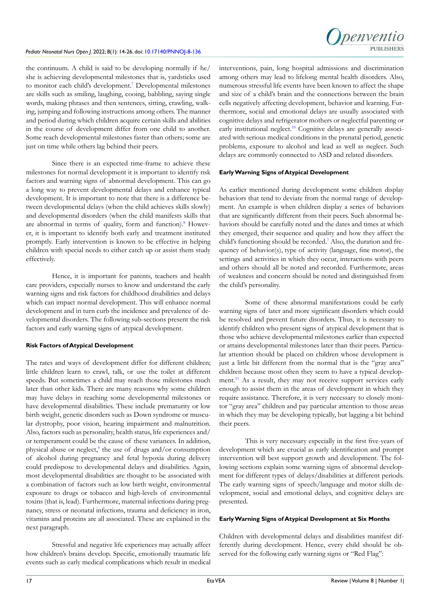

the continuum. A child is said to be developing normally if he/ she is achieving developmental milestones that is, yardsticks used to monitor each child's development.<sup>7</sup> Developmental milestones are skills such as smiling, laughing, cooing, babbling, saying single words, making phrases and then sentences, sitting, crawling, walking, jumping and following instructions among others. The manner and period during which children acquire certain skills and abilities in the course of development differ from one child to another. Some reach developmental milestones faster than others; some are just on time while others lag behind their peers.

Since there is an expected time-frame to achieve these milestones for normal development it is important to identify risk factors and warning signs of abnormal development. This can go a long way to prevent developmental delays and enhance typical development. It is important to note that there is a difference between developmental delays (when the child achieves skills slowly) and developmental disorders (when the child manifests skills that are abnormal in terms of quality, form and function).<sup>[8](#page-10-4)</sup> However, it is important to identify both early and treatment instituted promptly. Early intervention is known to be effective in helping children with special needs to either catch up or assist them study effectively.

Hence, it is important for parents, teachers and health care providers, especially nurses to know and understand the early warning signs and risk factors for childhood disabilities and delays which can impact normal development. This will enhance normal development and in turn curb the incidence and prevalence of developmental disorders. The following sub-sections present the risk factors and early warning signs of atypical development.

## **Risk Factors of Atypical Development**

The rates and ways of development differ for different children; little children learn to crawl, talk, or use the toilet at different speeds. But sometimes a child may reach those milestones much later than other kids. There are many reasons why some children may have delays in reaching some developmental milestones or have developmental disabilities. These include prematurity or low birth weight, genetic disorders such as Down syndrome or muscular dystrophy, poor vision, hearing impairment and malnutrition. Also, factors such as personality, health status, life experiences and/ or temperament could be the cause of these variances. In addition, physical abuse or neglect,<sup>[9](#page-10-5)</sup> the use of drugs and/or consumption of alcohol during pregnancy and fetal hypoxia during delivery could predispose to developmental delays and disabilities. Again, most developmental disabilities are thought to be associated with a combination of factors such as low birth weight, environmental exposure to drugs or tobacco and high-levels of environmental toxins (that is, lead). Furthermore, maternal infections during pregnancy, stress or neonatal infections, trauma and deficiency in iron, vitamins and proteins are all associated. These are explained in the next paragraph.

Stressful and negative life experiences may actually affect how children's brains develop. Specific, emotionally traumatic life events such as early medical complications which result in medical

interventions, pain, long hospital admissions and discrimination among others may lead to lifelong mental health disorders. Also, numerous stressful life events have been known to affect the shape and size of a child's brain and the connections between the brain cells negatively affecting development, behavior and learning. Furthermore, social and emotional delays are usually associated with cognitive delays and refrigerator mothers or neglectful parenting or early institutional neglect.<sup>10</sup> Cognitive delays are generally associated with serious medical conditions in the prenatal period, genetic problems, exposure to alcohol and lead as well as neglect. Such delays are commonly connected to ASD and related disorders.

## **Early Warning Signs of Atypical Development**

As earlier mentioned during development some children display behaviors that tend to deviate from the normal range of development. An example is when children display a series of behaviors that are significantly different from their peers. Such abnormal behaviors should be carefully noted and the dates and times at which they emerged, their sequence and quality and how they affect the child's functioning should be recorded.<sup>[7](#page-10-3)</sup> Also, the duration and frequency of behavior(s), type of activity (language, fine motor), the settings and activities in which they occur, interactions with peers and others should all be noted and recorded. Furthermore, areas of weakness and concern should be noted and distinguished from the child's personality.

Some of these abnormal manifestations could be early warning signs of later and more significant disorders which could be resolved and prevent future disorders. Thus, it is necessary to identify children who present signs of atypical development that is those who achieve developmental milestones earlier than expected or attains developmental milestones later than their peers. Particular attention should be placed on children whose development is just a little bit different from the normal that is the "gray area" children because most often they seem to have a typical develop-ment.<sup>[11](#page-10-7)</sup> As a result, they may not receive support services early enough to assist them in the areas of development in which they require assistance. Therefore, it is very necessary to closely monitor "gray area" children and pay particular attention to those areas in which they may be developing typically, but lagging a bit behind their peers.

This is very necessary especially in the first five-years of development which are crucial as early identification and prompt intervention will best support growth and development. The following sections explain some warning signs of abnormal development for different types of delays/disabilities at different periods. The early warning signs of speech/language and motor skills development, social and emotional delays, and cognitive delays are presented.

## **Early Warning Signs of Atypical Development at Six Months**

Children with developmental delays and disabilities manifest differently during development. Hence, every child should be observed for the following early warning signs or "Red Flag":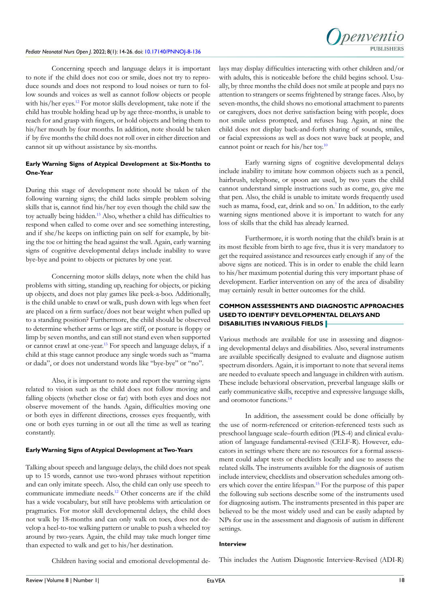

Concerning speech and language delays it is important to note if the child does not coo or smile, does not try to reproduce sounds and does not respond to loud noises or turn to follow sounds and voices as well as cannot follow objects or people with his/her eyes.<sup>12</sup> For motor skills development, take note if the child has trouble holding head up by age three-months, is unable to reach for and grasp with fingers, or hold objects and bring them to his/her mouth by four months. In addition, note should be taken if by five months the child does not roll over in either direction and cannot sit up without assistance by six-months.

## **Early Warning Signs of Atypical Development at Six-Months to One-Year**

During this stage of development note should be taken of the following warning signs; the child lacks simple problem solving skills that is, cannot find his/her toy even though the child saw the toy actually being hidden.[13](#page-10-9) Also, whether a child has difficulties to respond when called to come over and see something interesting, and if she/he keeps on inflicting pain on self for example, by biting the toe or hitting the head against the wall. Again, early warning signs of cognitive developmental delays include inability to wave bye-bye and point to objects or pictures by one year.

Concerning motor skills delays, note when the child has problems with sitting, standing up, reaching for objects, or picking up objects, and does not play games like peek-a-boo. Additionally, is the child unable to crawl or walk, push down with legs when feet are placed on a firm surface/does not bear weight when pulled up to a standing position? Furthermore, the child should be observed to determine whether arms or legs are stiff, or posture is floppy or limp by seven months, and can still not stand even when supported or cannot crawl at one-year.[13](#page-10-9) For speech and language delays, if a child at this stage cannot produce any single words such as "mama or dada", or does not understand words like "bye-bye" or "no".

Also, it is important to note and report the warning signs related to vision such as the child does not follow moving and falling objects (whether close or far) with both eyes and does not observe movement of the hands. Again, difficulties moving one or both eyes in different directions, crosses eyes frequently, with one or both eyes turning in or out all the time as well as tearing constantly.

## **Early Warning Signs of Atypical Development at Two-Years**

Talking about speech and language delays, the child does not speak up to 15 words, cannot use two-word phrases without repetition and can only imitate speech. Also, the child can only use speech to communicate immediate needs.[12](#page-10-8) Other concerns are if the child has a wide vocabulary, but still have problems with articulation or pragmatics. For motor skill developmental delays, the child does not walk by 18-months and can only walk on toes, does not develop a heel-to-toe walking pattern or unable to push a wheeled toy around by two-years. Again, the child may take much longer time than expected to walk and get to his/her destination.

lays may display difficulties interacting with other children and/or with adults, this is noticeable before the child begins school. Usually, by three months the child does not smile at people and pays no attention to strangers or seems frightened by strange faces. Also, by seven-months, the child shows no emotional attachment to parents or caregivers, does not derive satisfaction being with people, does not smile unless prompted, and refuses hug. Again, at nine the child does not display back-and-forth sharing of sounds, smiles, or facial expressions as well as does not wave back at people, and cannot point or reach for his/her toy.<sup>10</sup>

Early warning signs of cognitive developmental delays include inability to imitate how common objects such as a pencil, hairbrush, telephone, or spoon are used, by two years the child cannot understand simple instructions such as come, go, give me that pen. Also, the child is unable to imitate words frequently used such as mama, food, eat, drink and so on.<sup>[7](#page-10-3)</sup> In addition, to the early warning signs mentioned above it is important to watch for any loss of skills that the child has already learned.

Furthermore, it is worth noting that the child's brain is at its most flexible from birth to age five, thus it is very mandatory to get the required assistance and resources early enough if any of the above signs are noticed. This is in order to enable the child learn to his/her maximum potential during this very important phase of development. Earlier intervention on any of the area of disability may certainly result in better outcomes for the child.

## **COMMON ASSESSMENTS AND DIAGNOSTIC APPROACHES USED TO IDENTIFY DEVELOPMENTAL DELAYS AND DISABILITIES IN VARIOUS FIELDS**

Various methods are available for use in assessing and diagnosing developmental delays and disabilities. Also, several instruments are available specifically designed to evaluate and diagnose autism spectrum disorders. Again, it is important to note that several items are needed to evaluate speech and language in children with autism. These include behavioral observation, preverbal language skills or early communicative skills, receptive and expressive language skills, and oromotor functions.<sup>[14](#page-10-10)</sup>

In addition, the assessment could be done officially by the use of norm-referenced or criterion-referenced tests such as preschool language scale–fourth edition (PLS-4) and clinical evaluation of language fundamental-revised (CELF-R). However, educators in settings where there are no resources for a formal assessment could adapt tests or checklists locally and use to assess the related skills. The instruments available for the diagnosis of autism include interview, checklists and observation schedules among others which cover the entire lifespan.[15](#page-10-11) For the purpose of this paper the following sub sections describe some of the instruments used for diagnosing autism. The instruments presented in this paper are believed to be the most widely used and can be easily adapted by NPs for use in the assessment and diagnosis of autism in different settings.

# **Interview**

Children having social and emotional developmental de-

This includes the Autism Diagnostic Interview-Revised (ADI-R)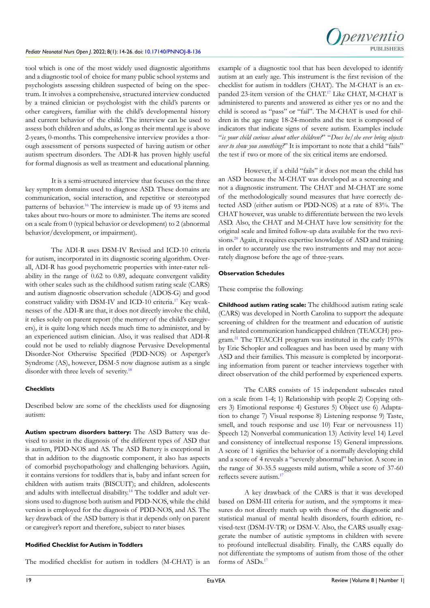

tool which is one of the most widely used diagnostic algorithms and a diagnostic tool of choice for many public school systems and psychologists assessing children suspected of being on the spectrum. It involves a comprehensive, structured interview conducted by a trained clinician or psychologist with the child's parents or other caregivers, familiar with the child's developmental history and current behavior of the child. The interview can be used to assess both children and adults, as long as their mental age is above 2-years, 0-months. This comprehensive interview provides a thorough assessment of persons suspected of having autism or other autism spectrum disorders. The ADI-R has proven highly useful for formal diagnosis as well as treatment and educational planning.

It is a semi-structured interview that focuses on the three key symptom domains used to diagnose ASD. These domains are communication, social interaction, and repetitive or stereotyped patterns of behavior[.16](#page-10-12) The interview is made up of 93 items and takes about two-hours or more to administer. The items are scored on a scale from 0 (typical behavior or development) to 2 (abnormal behavior/development, or impairment).

The ADI-R uses DSM-IV Revised and ICD-10 criteria for autism, incorporated in its diagnostic scoring algorithm. Overall, ADI-R has good psychometric properties with inter-rater reliability in the range of 0.62 to 0.89, adequate convergent validity with other scales such as the childhood sutism rating scale (CARS) and autism diagnostic observation schedule (ADOS-G) and good construct validity with DSM-IV and ICD-10 criteria[.17](#page-10-13) Key weaknesses of the ADI-R are that, it does not directly involve the child, it relies solely on parent report (the memory of the child's caregivers), it is quite long which needs much time to administer, and by an experienced autism clinician. Also, it was realised that ADI-R could not be used to reliably diagnose Pervasive Developmental Disorder-Not Otherwise Specified (PDD-NOS) or Asperger's Syndrome (AS), however, DSM-5 now diagnose autism as a single disorder with three levels of severity.<sup>18</sup>

## **Checklists**

Described below are some of the checklists used for diagnosing autism:

**Autism spectrum disorders battery:** The ASD Battery was devised to assist in the diagnosis of the different types of ASD that is autism, PDD-NOS and AS. The ASD Battery is exceptional in that in addition to the diagnostic component, it also has aspects of comorbid psychopathology and challenging behaviors. Again, it contains versions for toddlers that is, baby and infant screen for children with autism traits (BISCUIT); and children, adolescents and adults with intellectual disability[.14](#page-10-10) The toddler and adult versions used to diagnose both autism and PDD-NOS, while the child version is employed for the diagnosis of PDD-NOS, and AS. The key drawback of the ASD battery is that it depends only on parent or caregiver's report and therefore, subject to rater biases.

## **Modified Checklist for Autism in Toddlers**

The modified checklist for autism in toddlers (M-CHAT) is an

example of a diagnostic tool that has been developed to identify autism at an early age. This instrument is the first revision of the checklist for autism in toddlers (CHAT). The M-CHAT is an ex-panded 23-item version of the CHAT.<sup>[17](#page-10-13)</sup> Like CHAT, M-CHAT is administered to parents and answered as either yes or no and the child is scored as "pass" or "fail". The M-CHAT is used for children in the age range 18-24-months and the test is composed of indicators that indicate signs of severe autism. Examples include "*is your child curious about other children?*" "*Does he/she ever bring objects over to show you something?*" It is important to note that a child "fails" the test if two or more of the six critical items are endorsed.

However, if a child "fails" it does not mean the child has an ASD because the M-CHAT was developed as a screening and not a diagnostic instrument. The CHAT and M-CHAT are some of the methodologically sound measures that have correctly detected ASD (either autism or PDD-NOS) at a rate of 83%. The CHAT however, was unable to differentiate between the two levels ASD. Also, the CHAT and M-CHAT have low sensitivity for the original scale and limited follow-up data available for the two revisions[.20](#page-10-15) Again, it requires expertise knowledge of ASD and training in order to accurately use the two instruments and may not accurately diagnose before the age of three-years.

## **Observation Schedules**

These comprise the following:

**Childhood autism rating scale:** The childhood autism rating scale (CARS) was developed in North Carolina to support the adequate screening of children for the treatment and education of autistic and related communication handicapped children (TEACCH) program.[21](#page-10-16) The TEACCH program was instituted in the early 1970s by Eric Schopler and colleagues and has been used by many with ASD and their families. This measure is completed by incorporating information from parent or teacher interviews together with direct observation of the child performed by experienced experts.

The CARS consists of 15 independent subscales rated on a scale from 1-4; 1) Relationship with people 2) Copying others 3) Emotional response 4) Gestures 5) Object use 6) Adaptation to change 7) Visual response 8) Listening response 9) Taste, smell, and touch response and use 10) Fear or nervousness 11) Speech 12) Nonverbal communication 13) Activity level 14) Level and consistency of intellectual response 15) General impressions. A score of 1 signifies the behavior of a normally developing child and a score of 4 reveals a "severely abnormal" behavior. A score in the range of 30-35.5 suggests mild autism, while a score of 37-60 reflects severe autism.[17](#page-10-13)

A key drawback of the CARS is that it was developed based on DSM-III criteria for autism, and the symptoms it measures do not directly match up with those of the diagnostic and statistical manual of mental health disorders, fourth edition, revised-text (DSM-IV-TR) or DSM-V. Also, the CARS usually exaggerate the number of autistic symptoms in children with severe to profound intellectual disability. Finally, the CARS equally do not differentiate the symptoms of autism from those of the other forms of ASDs.<sup>17</sup>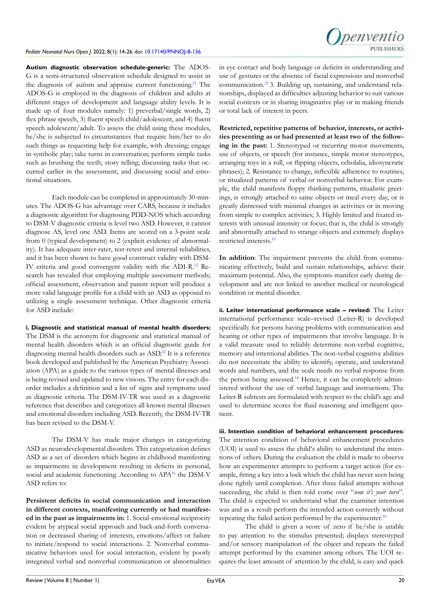

**Autism diagnostic observation schedule-generic:** The ADOS-G is a semi-structured observation schedule designed to assist in the diagnosis of autism and appraise current functioning.<sup>[21](#page-10-16)</sup> The ADOS-G is employed in the diagnosis of children and adults at different stages of development and language ability levels. It is made up of four modules namely: 1) preverbal/single words, 2) flex phrase speech, 3) fluent speech child/adolescent, and 4) fluent speech adolescent/adult. To assess the child using these modules, he/she is subjected to circumstances that require him/her to do such things as requesting help for example, with dressing; engage in symbolic play; take turns in conversation; perform simple tasks such as brushing the teeth; story telling; discussing tasks that occurred earlier in the assessment, and discussing social and emotional situations.

Each module can be completed in approximately 30-minutes. The ADOS-G has advantage over CARS, because it includes a diagnostic algorithm for diagnosing PDD-NOS which according to DSM-V diagnostic criteria is level two ASD. However, it cannot diagnose AS, level one ASD. Items are scored on a 3-point scale from 0 (typical development) to 2 (explicit evidence of abnormality). It has adequate inter-rater, test-retest and internal reliabilities, and it has been shown to have good construct validity with DSM-IV criteria and good convergent validity with the ADI-R.[12](#page-10-8) Research has revealed that employing multiple assessment methods; official assessment, observation and parent report will produce a more valid language profile for a child with an ASD as opposed to utilizing a single assessment technique. Other diagnostic criteria for ASD include:

**i. Diagnostic and statistical manual of mental health disorders:** The DSM is the acronym for diagnostic and statistical manual of mental health disorders which is an official diagnostic guide for diagnosing mental health disorders such as ASD.<sup>[22](#page-10-17)</sup> It is a reference book developed and published by the American Psychiatry Association (APA) as a guide to the various types of mental illnesses and is being revised and updated to new visions. The entry for each disorder includes a definition and a list of signs and symptoms used as diagnostic criteria. The DSM-IV-TR was used as a diagnostic reference that describes and categorizes all known mental illnesses and emotional disorders including ASD. Recently, the DSM-IV-TR has been revised to the DSM-V.

The DSM-V has made major changes in categorizing ASD as neurodevelopmental disorders. This categorization defines ASD as a set of disorders which begins in childhood manifesting as impairments in development resulting in deficits in personal, social and academic functioning. According to APA<sup>[16](#page-10-12)</sup> the DSM-V ASD refers to:

**Persistent deficits in social communication and interaction in different contexts, manifesting currently or had manifested in the past as impairments in:** 1. Social-emotional reciprocity evident by atypical social approach and back-and-forth conversation or decreased sharing of interests, emotions/affect or failure to initiate/respond to social interactions. 2. Nonverbal communicative behaviors used for social interaction, evident by poorly integrated verbal and nonverbal communication or abnormalities

in eye contact and body language or deficits in understanding and use of gestures or the absence of facial expressions and nonverbal communication[.22](#page-10-17) 3. Building up, sustaining, and understand relationships, displayed as difficulties adjusting behavior to suit various social contexts or in sharing imaginative play or in making friends or total lack of interest in peers.

**Restricted, repetitive patterns of behavior, interests, or activities presenting as or had presented at least two of the following in the past:** 1. Stereotyped or recurring motor movements, use of objects, or speech (for instance, simple motor stereotypes, arranging toys in a roll, or flipping objects, echolalia, idiosyncratic phrases); 2. Resistance to change, inflexible adherence to routines, or ritualized patterns of verbal or nonverbal behavior. For example, the child manifests floppy thinking patterns, ritualistic greetings, is strongly attached to same objects or meal every day, or is greatly distressed with minimal changes in activities or in moving from simple to complex activities; 3. Highly limited and fixated interests with unusual intensity or focus; that is, the child is strongly and abnormally attached to strange objects and extremely displays restricted interests.<sup>19</sup>

**In addition**: The impairment prevents the child from communicating effectively, build and sustain relationships, achieve their maximum potential. Also, the symptoms manifest early during development and are not linked to another medical or neurological condition or mental disorder.

**ii. Leiter international performance scale – revised:** The Leiter international performance scale–revised (Leiter-R) is developed specifically for persons having problems with communication and hearing or other types of impairments that involve language. It is a valid measure used to reliably determine non-verbal cognitive, memory and intentional abilities. The non-verbal cognitive abilities do not necessitate the ability to identify, operate, and understand words and numbers, and the scale needs no verbal response from the person being assessed.<sup>14</sup> Hence, it can be completely administered without the use of verbal language and instructions. The Leiter-R subtests are formulated with respect to the child's age and used to determine scores for fluid reasoning and intelligent quotient.

**iii. Intention condition of behavioral enhancement procedures:** The intention condition of behavioral enhancement procedures (UOI) is used to assess the child's ability to understand the intentions of others. During the evaluation the child is made to observe how an experimenter attempts to perform a target action (for example, fitting a key into a lock which the child has never seen being done rightly until completion. After three failed attempts without succeeding, the child is then told come over "*now it's your turn*". The child is expected to understand what the examiner intention was and as a result perform the intended action correctly without repeating the failed action performed by the experimenter.<sup>10</sup>

The child is given a score of zero if he/she is unable to pay attention to the stimulus presented; displays stereotyped and/or sensory manipulation of the object and repeats the failed attempt performed by the examiner among others. The UOI requires the least amount of attention by the child, is easy and quick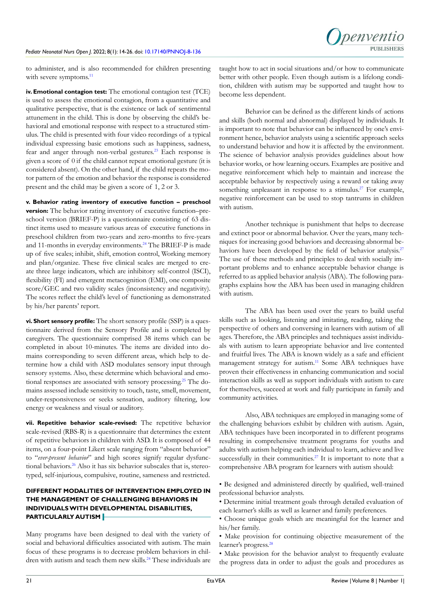to administer, and is also recommended for children presenting with severe symptoms.<sup>[11](#page-10-7)</sup>

**iv. Emotional contagion test:** The emotional contagion test (TCE) is used to assess the emotional contagion, from a quantitative and qualitative perspective, that is the existence or lack of sentimental attunement in the child. This is done by observing the child's behavioral and emotional response with respect to a structured stimulus. The child is presented with four video recordings of a typical individual expressing basic emotions such as happiness, sadness, fear and anger through non-verbal gestures.<sup>23</sup> Each response is given a score of 0 if the child cannot repeat emotional gesture (it is considered absent). On the other hand, if the child repeats the motor pattern of the emotion and behavior the response is considered present and the child may be given a score of 1, 2 or 3.

**v. Behavior rating inventory of executive function – preschool version:** The behavior rating inventory of executive function–preschool version (BRIEF-P) is a questionnaire consisting of 63 distinct items used to measure various areas of executive functions in preschool children from two-years and zero-months to five-years and 11-months in everyday environments.<sup>[24](#page-10-20)</sup> The BRIEF-P is made up of five scales; inhibit, shift, emotion control, Working memory and plan/organize. These five clinical scales are merged to create three large indicators, which are inhibitory self-control (ISCI), flexibility (FI) and emergent metacognition (EMI), one composite score/GEC and two validity scales (inconsistency and negativity). The scores reflect the child's level of functioning as demonstrated by his/her parents' report.

**vi. Short sensory profile:** The short sensory profile (SSP) is a questionnaire derived from the Sensory Profile and is completed by caregivers. The questionnaire comprised 38 items which can be completed in about 10-minutes. The items are divided into domains corresponding to seven different areas, which help to determine how a child with ASD modulates sensory input through sensory systems. Also, these determine which behavioral and emo-tional responses are associated with sensory processing.<sup>[25](#page-10-21)</sup> The domains assessed include sensitivity to touch, taste, smell, movement, under-responsiveness or seeks sensation, auditory filtering, low energy or weakness and visual or auditory.

**vii. Repetitive behavior scale-revised:** The repetitive behavior scale-revised (RBS-R) is a questionnaire that determines the extent of repetitive behaviors in children with ASD. It is composed of 44 items, on a four-point Likert scale ranging from "absent behavior" to "*ever-present behavior*" and high scores signify regular dysfunctional behaviors.<sup>26</sup> Also it has six behavior subscales that is, stereotyped, self-injurious, compulsive, routine, sameness and restricted.

# **DIFFERENT MODALITIES OF INTERVENTION EMPLOYED IN THE MANAGEMENT OF CHALLENGING BEHAVIORS IN INDIVIDUALS WITH DEVELOPMENTAL DISABILITIES, PARTICULARLY AUTISM**

Many programs have been designed to deal with the variety of social and behavioral difficulties associated with autism. The main focus of these programs is to decrease problem behaviors in chil-dren with autism and teach them new skills.<sup>[24](#page-10-20)</sup> These individuals are

taught how to act in social situations and/or how to communicate better with other people. Even though autism is a lifelong condition, children with autism may be supported and taught how to become less dependent.

Behavior can be defined as the different kinds of actions and skills (both normal and abnormal) displayed by individuals. It is important to note that behavior can be influenced by one's environment hence, behavior analysts using a scientific approach seeks to understand behavior and how it is affected by the environment. The science of behavior analysis provides guidelines about how behavior works, or how learning occurs. Examples are positive and negative reinforcement which help to maintain and increase the acceptable behavior by respectively using a reward or taking away something unpleasant in response to a stimulus.<sup>[27](#page-10-23)</sup> For example, negative reinforcement can be used to stop tantrums in children with autism.

Another technique is punishment that helps to decrease and extinct poor or abnormal behavior. Over the years, many techniques for increasing good behaviors and decreasing abnormal be-haviors have been developed by the field of behavior analysis.<sup>[27](#page-10-23)</sup> The use of these methods and principles to deal with socially important problems and to enhance acceptable behavior change is referred to as applied behavior analysis (ABA). The following paragraphs explains how the ABA has been used in managing children with autism.

The ABA has been used over the years to build useful skills such as looking, listening and imitating, reading, taking the perspective of others and conversing in learners with autism of all ages. Therefore, the ABA principles and techniques assist individuals with autism to learn appropriate behavior and live contented and fruitful lives. The ABA is known widely as a safe and efficient management strategy for autism.<sup>11</sup> Some ABA techniques have proven their effectiveness in enhancing communication and social interaction skills as well as support individuals with autism to care for themselves, succeed at work and fully participate in family and community activities.

Also, ABA techniques are employed in managing some of the challenging behaviors exhibit by children with autism. Again, ABA techniques have been incorporated in to different programs resulting in comprehensive treatment programs for youths and adults with autism helping each individual to learn, achieve and live successfully in their communities.<sup>27</sup> It is important to note that a comprehensive ABA program for learners with autism should:

- Be designed and administered directly by qualified, well-trained professional behavior analysts.
- Determine initial treatment goals through detailed evaluation of each learner's skills as well as learner and family preferences.
- Choose unique goals which are meaningful for the learner and his/her family.
- Make provision for continuing objective measurement of the learner's progress.<sup>[28](#page-10-24)</sup>
- Make provision for the behavior analyst to frequently evaluate the progress data in order to adjust the goals and procedures as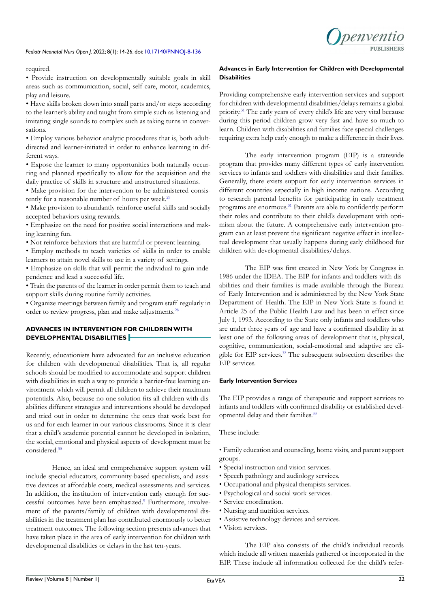

required.

• Provide instruction on developmentally suitable goals in skill areas such as communication, social, self-care, motor, academics, play and leisure.

• Have skills broken down into small parts and/or steps according to the learner's ability and taught from simple such as listening and imitating single sounds to complex such as taking turns in conversations.

• Employ various behavior analytic procedures that is, both adultdirected and learner-initiated in order to enhance learning in different ways.

• Expose the learner to many opportunities both naturally occurring and planned specifically to allow for the acquisition and the daily practice of skills in structure and unstructured situations.

• Make provision for the intervention to be administered consis-tently for a reasonable number of hours per week.<sup>[29](#page-11-0)</sup>

• Make provision to abundantly reinforce useful skills and socially accepted behaviors using rewards.

• Emphasize on the need for positive social interactions and making learning fun.

• Not reinforce behaviors that are harmful or prevent learning.

• Employ methods to teach varieties of skills in order to enable learners to attain novel skills to use in a variety of settings.

• Emphasize on skills that will permit the individual to gain independence and lead a successful life.

• Train the parents of the learner in order permit them to teach and support skills during routine family activities.

• Organize meetings between family and program staff regularly in order to review progress, plan and make adjustments[.28](#page-10-24)

# **ADVANCES IN INTERVENTION FOR CHILDREN WITH DEVELOPMENTAL DISABILITIES**

Recently, educationists have advocated for an inclusive education for children with developmental disabilities. That is, all regular schools should be modified to accommodate and support children with disabilities in such a way to provide a barrier-free learning environment which will permit all children to achieve their maximum potentials. Also, because no one solution fits all children with disabilities different strategies and interventions should be developed and tried out in order to determine the ones that work best for us and for each learner in our various classrooms. Since it is clear that a child's academic potential cannot be developed in isolation, the social, emotional and physical aspects of development must be considered[.30](#page-11-1)

Hence, an ideal and comprehensive support system will include special educators, community-based specialists, and assistive devices at affordable costs, medical assessments and services. In addition, the institution of intervention early enough for successful outcomes have been emphasized.<sup>9</sup> Furthermore, involvement of the parents/family of children with developmental disabilities in the treatment plan has contributed enormously to better treatment outcomes. The following section presents advances that have taken place in the area of early intervention for children with developmental disabilities or delays in the last ten-years.

## **Advances in Early Intervention for Children with Developmental Disabilities**

Providing comprehensive early intervention services and support for children with developmental disabilities/delays remains a global priority.[31](#page-11-2) The early years of every child's life are very vital because during this period children grow very fast and have so much to learn. Children with disabilities and families face special challenges requiring extra help early enough to make a difference in their lives.

The early intervention program (EIP) is a statewide program that provides many different types of early intervention services to infants and toddlers with disabilities and their families. Generally, there exists support for early intervention services in different countries especially in high income nations. According to research parental benefits for participating in early treatment programs are enormous.<sup>[31](#page-11-2)</sup> Parents are able to confidently perform their roles and contribute to their child's development with optimism about the future. A comprehensive early intervention program can at least prevent the significant negative effect in intellectual development that usually happens during early childhood for children with developmental disabilities/delays.

The EIP was first created in New York by Congress in 1986 under the IDEA. The EIP for infants and toddlers with disabilities and their families is made available through the Bureau of Early Intervention and is administered by the New York State Department of Health. The EIP in New York State is found in Article 25 of the Public Health Law and has been in effect since July 1, 1993. According to the State only infants and toddlers who are under three years of age and have a confirmed disability in at least one of the following areas of development that is, physical, cognitive, communication, social-emotional and adaptive are eligible for EIP services.[32](#page-11-3) The subsequent subsection describes the EIP services.

#### **Early Intervention Services**

The EIP provides a range of therapeutic and support services to infants and toddlers with confirmed disability or established developmental delay and their families.<sup>33</sup>

These include:

• Family education and counseling, home visits, and parent support groups.

- Special instruction and vision services.
- Speech pathology and audiology services.
- Occupational and physical therapists services.
- Psychological and social work services.
- Service coordination.
- Nursing and nutrition services.
- Assistive technology devices and services.
- Vision services.

The EIP also consists of the child's individual records which include all written materials gathered or incorporated in the EIP. These include all information collected for the child's refer-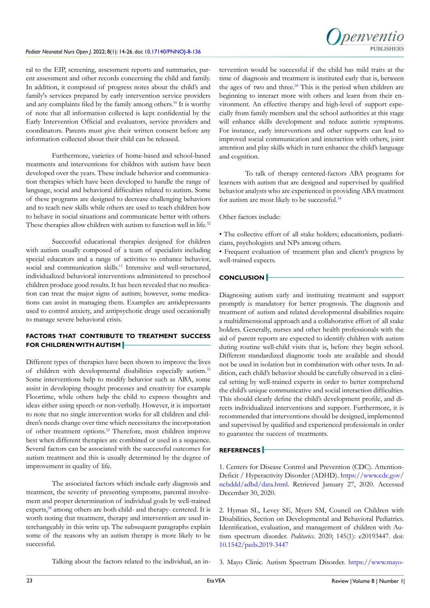

ral to the EIP, screening, assessment reports and summaries, parent assessment and other records concerning the child and family. In addition, it composed of progress notes about the child's and family's services prepared by early intervention service providers and any complaints filed by the family among others.<sup>34</sup> It is worthy of note that all information collected is kept confidential by the Early Intervention Official and evaluators, service providers and coordinators. Parents must give their written consent before any information collected about their child can be released.

Furthermore, varieties of home-based and school-based treatments and interventions for children with autism have been developed over the years. These include behavior and communication therapies which have been developed to handle the range of language, social and behavioral difficulties related to autism. Some of these programs are designed to decrease challenging behaviors and to teach new skills while others are used to teach children how to behave in social situations and communicate better with others. These therapies allow children with autism to function well in life.<sup>32</sup>

Successful educational therapies designed for children with autism usually composed of a team of specialists including special educators and a range of activities to enhance behavior, social and communication skills.<sup>[11](#page-10-7)</sup> Intensive and well-structured, individualized behavioral interventions administered to preschool children produce good results. It has been revealed that no medication can treat the major signs of autism; however, some medications can assist in managing them. Examples are antidepressants used to control anxiety, and antipsychotic drugs used occasionally to manage severe behavioral crisis.

# **FACTORS THAT CONTRIBUTE TO TREATMENT SUCCESS FOR CHILDREN WITH AUTISM**

Different types of therapies have been shown to improve the lives of children with developmental disabilities especially autism[.35](#page-11-6) Some interventions help to modify behavior such as ABA, some assist in developing thought processes and creativity for example Floortime, while others help the child to express thoughts and ideas either using speech or non-verbally. However, it is important to note that no single intervention works for all children and children's needs change over time which necessitates the incorporation of other treatment options.[32](#page-11-3) Therefore, most children improve best when different therapies are combined or used in a sequence. Several factors can be associated with the successful outcomes for autism treatment and this is usually determined by the degree of improvement in quality of life.

The associated factors which include early diagnosis and treatment, the severity of presenting symptoms, parental involvement and proper determination of individual goals by well-trained experts,<sup>[28](#page-10-24)</sup> among others are both child- and therapy- centered. It is worth noting that treatment, therapy and intervention are used interchangeably in this write up. The subsequent paragraphs explain some of the reasons why an autism therapy is more likely to be successful.

tervention would be successful if the child has mild traits at the time of diagnosis and treatment is instituted early that is, between the ages of two and three.<sup>[28](#page-10-24)</sup> This is the period when children are beginning to interact more with others and learn from their environment. An effective therapy and high-level of support especially from family members and the school authorities at this stage will enhance skills development and reduce autistic symptoms. For instance, early interventions and other supports can lead to improved social communication and interaction with others, joint attention and play skills which in turn enhance the child's language and cognition.

To talk of therapy centered-factors ABA programs for learners with autism that are designed and supervised by qualified behavior analysts who are experienced in providing ABA treatment for autism are most likely to be successful[.34](#page-11-5)

Other factors include:

• The collective effort of all stake holders; educationists, pediatricians, psychologists and NPs among others.

• Frequent evaluation of treatment plan and client's progress by well-trained expects.

## **CONCLUSION**

Diagnosing autism early and instituting treatment and support promptly is mandatory for better prognosis. The diagnosis and treatment of autism and related developmental disabilities require a multidimensional approach and a collaborative effort of all stake holders. Generally, nurses and other health professionals with the aid of parent reports are expected to identify children with autism during routine well-child visits that is, before they begin school. Different standardized diagnostic tools are available and should not be used in isolation but in combination with other tests. In addition, each child's behavior should be carefully observed in a clinical setting by well-trained experts in order to better comprehend the child's unique communicative and social interaction difficulties. This should clearly define the child's development profile, and directs individualized interventions and support. Furthermore, it is recommended that interventions should be designed, implemented and supervised by qualified and experienced professionals in order to guarantee the success of treatments.

## **REFERENCES**

<span id="page-9-0"></span>1. Centers for Disease Control and Prevention (CDC). Attention-Deficit / Hyperactivity Disorder (ADHD). [https://www.cdc.gov/](https://www.cdc.gov/ncbddd/adhd/data.html) [ncbddd/adhd/data.html](https://www.cdc.gov/ncbddd/adhd/data.html). Retrieved January 27, 2020. Accessed December 30, 2020.

<span id="page-9-2"></span><span id="page-9-1"></span>2. Hyman SL, Levey SE, Myers SM, Council on Children with Disabilities, Section on Developmental and Behavioral Pediatrics. Identification, evaluation, and management of children with Autism spectrum disorder. *Peditarics*. 2020; 145(1): e20193447. doi: [10.1542/peds.2019-3447](http://doi.org/10.1542/peds.2019-3447)

Talking about the factors related to the individual, an in-3. Mayo Clinic. Autism Spectrum Disorder. [https://www.mayo-](https://www.mayoclinic.org/diseases-conditions/autism-spectrum-disorder/diagnosis-treatment/drc-20352934)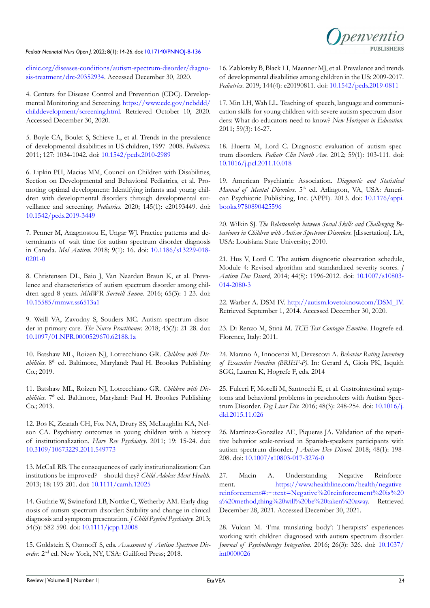

[clinic.org/diseases-conditions/autism-spectrum-disorder/diagno](https://www.mayoclinic.org/diseases-conditions/autism-spectrum-disorder/diagnosis-treatment/drc-20352934)[sis-treatment/drc-20352934](https://www.mayoclinic.org/diseases-conditions/autism-spectrum-disorder/diagnosis-treatment/drc-20352934). Accessed December 30, 2020.

<span id="page-10-0"></span>4. Centers for Disease Control and Prevention (CDC). Developmental Monitoring and Screening. [https://www.cdc.gov/ncbddd/](https://www.cdc.gov/ncbddd/childdevelopment/screening.html) [childdevelopment/screening.html](https://www.cdc.gov/ncbddd/childdevelopment/screening.html). Retrieved October 10, 2020. Accessed December 30, 2020.

<span id="page-10-1"></span>5. Boyle CA, Boulet S, Schieve L, et al. Trends in the prevalence of developmental disabilities in US children, 1997–2008. *Pediatrics.* 2011; 127: 1034-1042. doi: [10.1542/peds.2010-2989](http://doi.org/10.1542/peds.2010-2989)

<span id="page-10-2"></span>6. Lipkin PH, Macias MM, Council on Children with Disabilities, Section on Developmental and Behavioral Pediatrics, et al. Promoting optimal development: Identifying infants and young children with developmental disorders through developmental surveillance and screening. *Pediatrics*. 2020; 145(1): e20193449. doi: [10.1542/peds.2019-3449](http://doi.org/10.1542/peds.2019-3449)

<span id="page-10-3"></span>7. Penner M, Anagnostou E, Ungar WJ. Practice patterns and determinants of wait time for autism spectrum disorder diagnosis in Canada. *Mol Autism*. 2018; 9(1): 16. doi: [10.1186/s13229-018-](http://doi.org/10.1186/s13229-018-0201-0) [0201-0](http://doi.org/10.1186/s13229-018-0201-0)

<span id="page-10-4"></span>8. Christensen DL, Baio J, Van Naarden Braun K, et al. Prevalence and characteristics of autism spectrum disorder among children aged 8 years. *MMWR Surveill Summ*. 2016; 65(3): 1-23. doi: [10.15585/mmwr.ss6513a1](http://doi.org/10.15585/mmwr.ss6513a1)

<span id="page-10-5"></span>9. Weill VA, Zavodny S, Souders MC. Autism spectrum disorder in primary care. *The Nurse Practitioner*. 2018; 43(2): 21-28. doi: [10.1097/01.NPR.0000529670.62188.1a](http://doi.org/10.1097/01.NPR.0000529670.62188.1a)

<span id="page-10-6"></span>10. Batshaw ML, Roizen NJ, Lotrecchiano GR. *Children with Disabilities*. 8th ed. Baltimore, Maryland: Paul H. Brookes Publishing Co.; 2019.

<span id="page-10-7"></span>11. Batshaw ML, Roizen NJ, Lotrecchiano GR. *Children with Disabilities*. 7<sup>th</sup> ed. Baltimore, Maryland: Paul H. Brookes Publishing Co.; 2013.

<span id="page-10-8"></span>12. Bos K, Zeanah CH, Fox NA, Drury SS, McLaughlin KA, Nelson CA. Psychiatry outcomes in young children with a history of institutionalization. *Harv Rev Psychiatry*. 2011; 19: 15-24. doi: [10.3109/10673229.2011.549773](http://doi.org/10.3109/10673229.2011.549773)

<span id="page-10-9"></span>13. McCall RB. The consequences of early institutionalization: Can institutions be improved? – should they? *Child Adolesc Ment Health*. 2013; 18: 193-201. doi: [10.1111/camh.12025](http://doi.org/10.1111/camh.12025)

<span id="page-10-10"></span>14. Guthrie W, Swineford LB, Nottke C, Wetherby AM. Early diagnosis of autism spectrum disorder: Stability and change in clinical diagnosis and symptom presentation. *J Child Psychol Psychiatry.* 2013; 54(5): 582-590. doi: [10.1111/jcpp.12008](http://doi.org/10.1111/jcpp.12008)

<span id="page-10-11"></span>15. Goldstein S, Ozonoff S, eds. *Assessment of Autism Spectrum Disorder*. 2nd ed. New York, NY, USA: Guilford Press; 2018.

<span id="page-10-12"></span>16. Zablotsky B, Black LI, Maenner MJ, et al. Prevalence and trends of developmental disabilities among children in the US: 2009-2017. *Pediatrics*. 2019; 144(4): e20190811. doi: [10.1542/peds.2019-0811](http://doi.org/10.1542/peds.2019-0811)

<span id="page-10-13"></span>17. Min LH, Wah LL. Teaching of speech, language and communication skills for young children with severe autism spectrum disorders: What do educators need to know? *New Horizons in Education.* 2011; 59(3): 16-27.

<span id="page-10-14"></span>18. Huerta M, Lord C. Diagnostic evaluation of autism spectrum disorders. *Pediatr Clin North Am*. 2012; 59(1): 103-111. doi: [10.1016/j.pcl.2011.10.018](http://doi.org/10.1016/j.pcl.2011.10.018)

<span id="page-10-18"></span>19. American Psychiatric Association. *Diagnostic and Statistical Manual of Mental Disorders*. 5<sup>th</sup> ed. Arlington, VA, USA: American Psychiatric Publishing, Inc. (APPI). 2013. doi: [10.1176/appi.](http://doi.org/10.1176/appi.books.9780890425596) [books.9780890425596](http://doi.org/10.1176/appi.books.9780890425596)

<span id="page-10-15"></span>20. Wilkin SJ. *The Relationship between Social Skills and Challenging Behaviours in Children with Autism Spectrum Disorders*. [dissertation]. LA, USA: Louisiana State University; 2010.

<span id="page-10-16"></span>21. Hus V, Lord C. The autism diagnostic observation schedule, Module 4: Revised algorithm and standardized severity scores. *J Autism Dev Disord*, 2014; 44(8): 1996-2012. doi: [10.1007/s10803-](http://doi.org/10.1007/s10803-014-2080-3) [014-2080-3](http://doi.org/10.1007/s10803-014-2080-3)

<span id="page-10-17"></span>22. Warber A. DSM IV. [http://autism.lovetoknow.com/DSM\\_IV](http://autism.lovetoknow.com/DSM_IV). Retrieved September 1, 2014. Accessed December 30, 2020.

<span id="page-10-19"></span>23. Di Renzo M, Stinà M. *TCE-Test Contagio Emotivo*. Hogrefe ed. Florence, Italy: 2011.

<span id="page-10-20"></span>24. Marano A, Innocenzi M, Devescovi A. *Behavior Rating Inventory of Executive Function (BRIEF-P)*. In: Gerard A, Gioia PK, Isquith SGG, Lauren K, Hogrefe F, eds. 2014

<span id="page-10-21"></span>25. Fulceri F, Morelli M, Santocchi E, et al. Gastrointestinal symptoms and behavioral problems in preschoolers with Autism Spectrum Disorder. *Dig Liver Dis.* 2016; 48(3): 248-254. doi: [10.1016/j.](http://doi.org/10.1016/j.dld.2015.11.026) [dld.2015.11.026](http://doi.org/10.1016/j.dld.2015.11.026)

<span id="page-10-22"></span>26. Martínez-González AE, Piqueras JA. Validation of the repetitive behavior scale-revised in Spanish-speakers participants with autism spectrum disorder. *J Autism Dev Disord*. 2018; 48(1): 198- 208. doi: [10.1007/s10803-017-3276-0](hthttp://doi.org/10.1007/s10803-017-3276-0)

<span id="page-10-23"></span>27. Macin A. Understanding Negative Reinforcement. [https://www.healthline.com/health/negative](https://www.healthline.com/health/negative-reinforcement#:~:text=Negative%20reinforcement%20is%20a%20method,thing%20will%20be%20taken%20away)[reinforcement#:~:text=Negative%20reinforcement%20is%20](https://www.healthline.com/health/negative-reinforcement#:~:text=Negative%20reinforcement%20is%20a%20method,thing%20will%20be%20taken%20away) [a%20method,thing%20will%20be%20taken%20away](https://www.healthline.com/health/negative-reinforcement#:~:text=Negative%20reinforcement%20is%20a%20method,thing%20will%20be%20taken%20away). Retrieved December 28, 2021. Accessed December 30, 2021.

<span id="page-10-24"></span>28. Vulcan M. 'I'ma translating body': Therapists' experiences working with children diagnosed with autism spectrum disorder. *Journal of Psychotherapy Integration*. 2016; 26(3): 326. doi: [10.1037/](http://doi.org/10.1037/int0000026) [int0000026](http://doi.org/10.1037/int0000026)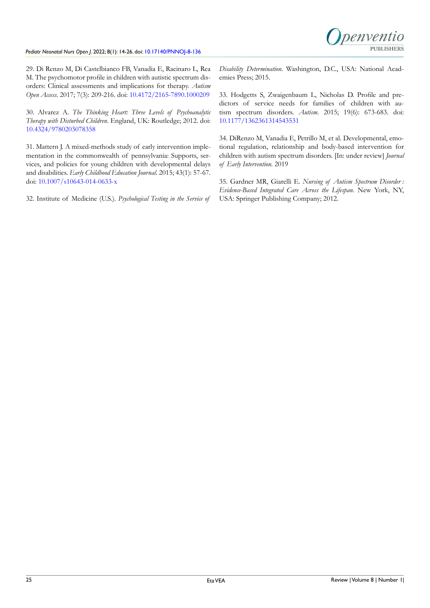

<span id="page-11-0"></span>29. Di Renzo M, Di Castelbianco FB, Vanadia E, Racinaro L, Rea M. The psychomotor profile in children with autistic spectrum disorders: Clinical assessments and implications for therapy. *Autism Open Access*. 2017; 7(3): 209-216. doi: [10.4172/2165-7890.1000209](http://doi.org/10.4172/2165-7890.1000209)

<span id="page-11-1"></span>30. Alvarez A. *The Thinking Heart: Three Levels of Psychoanalytic Therapy with Disturbed Children*. England, UK: Routledge; 2012. doi: [10.4324/9780203078358](http://doi.org/10.4324/9780203078358)

<span id="page-11-2"></span>31. Mattern J. A mixed-methods study of early intervention implementation in the commonwealth of pennsylvania: Supports, services, and policies for young children with developmental delays and disabilities. *Early Childhood Education Journal*. 2015; 43(1): 57-67. doi: [10.1007/s10643-014-0633-x](http://doi.org/10.1007/s10643-014-0633-x)

<span id="page-11-3"></span>32. Institute of Medicine (U.S.). *Psychological Testing in the Service of* 

*Disability Determination*. Washington, D.C., USA: National Academies Press; 2015.

<span id="page-11-4"></span>33. Hodgetts S, Zwaigenbaum L, Nicholas D. Profile and predictors of service needs for families of children with autism spectrum disorders. *Autism*. 2015; 19(6): 673-683. doi: [10.1177/1362361314543531](http://doi.org/10.1177/1362361314543531)

<span id="page-11-5"></span>34. DiRenzo M, Vanadia E, Petrillo M, et al. Developmental, emotional regulation, relationship and body-based intervention for children with autism spectrum disorders. [In: under review] *Journal of Early Intervention.* 2019

<span id="page-11-6"></span>35. Gardner MR, Giarelli E. *Nursing of Autism Spectrum Disorder : Evidence-Based Integrated Care Across the Lifespan*. New York, NY, USA: Springer Publishing Company; 2012.